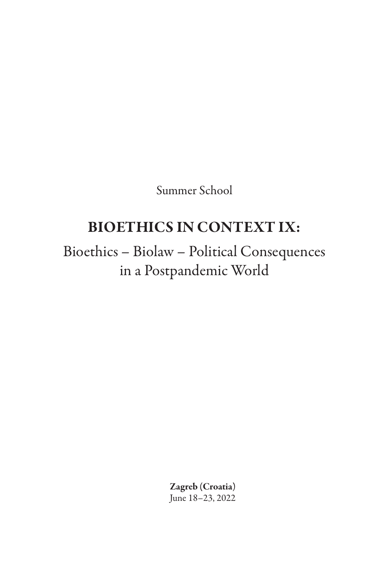Summer School

## BIOETHICS IN CONTEXT IX:

Bioethics – Biolaw – Political Consequences in a Postpandemic World

> Zagreb (Croatia) June 18–23, 2022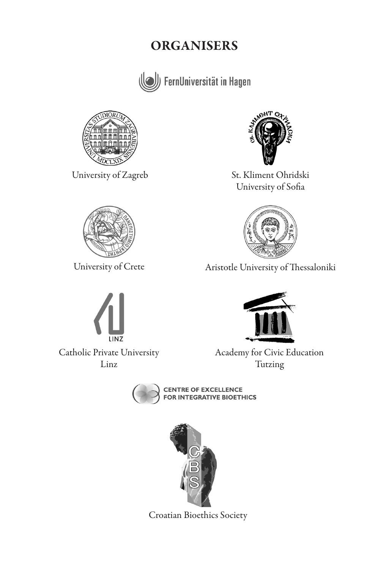## **ORGANISERS**





University of Zagreb



University of Crete

Catholic Private University Linz

LINZ



St. Kliment Ohridski University of Sofia





Academy for Civic Education Tutzing



**CENTRE OF EXCELLENCE<br>FOR INTEGRATIVE BIOETHICS** 



Croatian Bioethics Society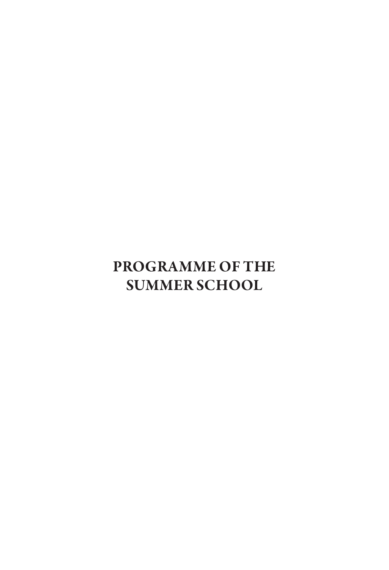# PROGRAMME OF THE SUMMER SCHOOL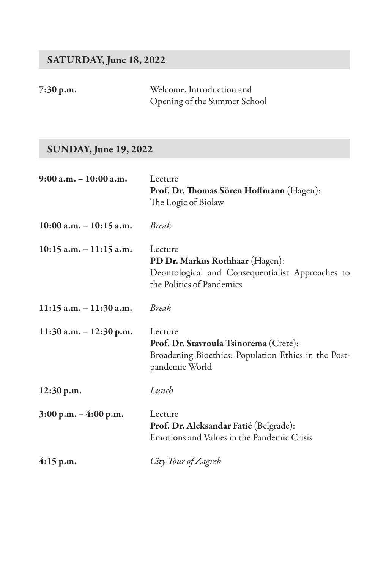## SATURDAY, June 18, 2022

| 7:30 p.m. | Welcome, Introduction and    |
|-----------|------------------------------|
|           | Opening of the Summer School |

## SUNDAY, June 19, 2022

| $9:00$ a.m. $-10:00$ a.m.  | Lecture<br>Prof. Dr. Thomas Sören Hoffmann (Hagen):<br>The Logic of Biolaw                                                  |
|----------------------------|-----------------------------------------------------------------------------------------------------------------------------|
| $10:00$ a.m. $-10:15$ a.m. | <i>Break</i>                                                                                                                |
| $10:15$ a.m. $-11:15$ a.m. | Lecture<br>PD Dr. Markus Rothhaar (Hagen):<br>Deontological and Consequentialist Approaches to<br>the Politics of Pandemics |
| $11:15$ a.m. $-11:30$ a.m. | <b>Break</b>                                                                                                                |
| $11:30$ a.m. $-12:30$ p.m. | Lecture<br>Prof. Dr. Stavroula Tsinorema (Crete):<br>Broadening Bioethics: Population Ethics in the Post-<br>pandemic World |
| 12:30 p.m.                 | Lunch                                                                                                                       |
| $3:00$ p.m. $-4:00$ p.m.   | Lecture<br>Prof. Dr. Aleksandar Fatić (Belgrade):<br>Emotions and Values in the Pandemic Crisis                             |
| $4:15$ p.m.                | City Tour of Zagreb                                                                                                         |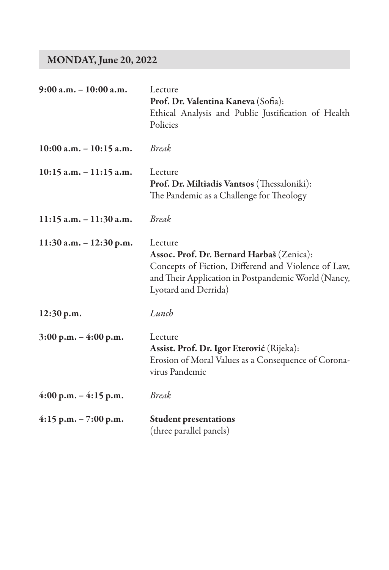## MONDAY, June 20, 2022

| 9:00 a.m. - 10:00 a.m.     | Lecture<br>Prof. Dr. Valentina Kaneva (Sofia):<br>Ethical Analysis and Public Justification of Health<br>Policies                                                                          |
|----------------------------|--------------------------------------------------------------------------------------------------------------------------------------------------------------------------------------------|
| $10:00$ a.m. $-10:15$ a.m. | <i>Break</i>                                                                                                                                                                               |
| $10:15$ a.m. $-11:15$ a.m. | Lecture<br>Prof. Dr. Miltiadis Vantsos (Thessaloniki):<br>The Pandemic as a Challenge for Theology                                                                                         |
| $11:15$ a.m. $-11:30$ a.m. | <b>Break</b>                                                                                                                                                                               |
| 11:30 a.m. - 12:30 p.m.    | Lecture<br>Assoc. Prof. Dr. Bernard Harbaš (Zenica):<br>Concepts of Fiction, Differend and Violence of Law,<br>and Their Application in Postpandemic World (Nancy,<br>Lyotard and Derrida) |
| 12:30 p.m.                 | Lunch                                                                                                                                                                                      |
| $3:00$ p.m. $-4:00$ p.m.   | Lecture<br>Assist. Prof. Dr. Igor Eterović (Rijeka):<br>Erosion of Moral Values as a Consequence of Corona-<br>virus Pandemic                                                              |
| $4:00$ p.m. $-4:15$ p.m.   | <b>Break</b>                                                                                                                                                                               |
| $4:15$ p.m. $- 7:00$ p.m.  | <b>Student presentations</b><br>(three parallel panels)                                                                                                                                    |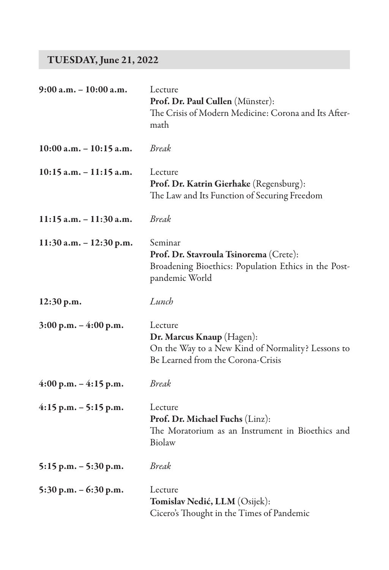### TUESDAY, June 21, 2022

| 9:00 a.m. - 10:00 a.m.     | Lecture<br>Prof. Dr. Paul Cullen (Münster):<br>The Crisis of Modern Medicine: Corona and Its After-<br>math                    |
|----------------------------|--------------------------------------------------------------------------------------------------------------------------------|
| 10:00 a.m. - 10:15 a.m.    | <b>Break</b>                                                                                                                   |
| $10:15$ a.m. $-11:15$ a.m. | Lecture<br>Prof. Dr. Katrin Gierhake (Regensburg):<br>The Law and Its Function of Securing Freedom                             |
| $11:15$ a.m. $-11:30$ a.m. | <b>Break</b>                                                                                                                   |
| $11:30$ a.m. $-12:30$ p.m. | Seminar<br>Prof. Dr. Stavroula Tsinorema (Crete):<br>Broadening Bioethics: Population Ethics in the Post-<br>pandemic World    |
| 12:30 p.m.                 | Lunch                                                                                                                          |
| $3:00$ p.m. $-4:00$ p.m.   | Lecture<br>Dr. Marcus Knaup (Hagen):<br>On the Way to a New Kind of Normality? Lessons to<br>Be Learned from the Corona-Crisis |
| $4:00$ p.m. $-4:15$ p.m.   | Break                                                                                                                          |
| $4:15$ p.m. $-5:15$ p.m.   | Lecture<br>Prof. Dr. Michael Fuchs (Linz):<br>The Moratorium as an Instrument in Bioethics and<br>Biolaw                       |
| $5:15$ p.m. $-5:30$ p.m.   | <i>Break</i>                                                                                                                   |
| 5:30 p.m. $-6:30$ p.m.     | Lecture<br>Tomislav Nedić, LLM (Osijek):<br>Cicero's Thought in the Times of Pandemic                                          |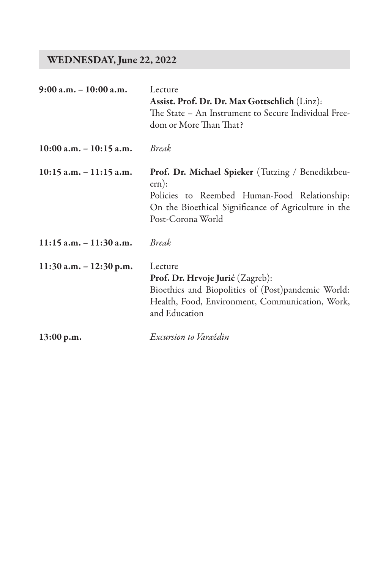#### WEDNESDAY, June 22, 2022

| 9:00 a.m. - 10:00 a.m.     | Lecture<br>Assist. Prof. Dr. Dr. Max Gottschlich (Linz):<br>The State – An Instrument to Secure Individual Free-<br>dom or More Than That?                                                     |
|----------------------------|------------------------------------------------------------------------------------------------------------------------------------------------------------------------------------------------|
| $10:00$ a.m. $-10:15$ a.m. | <b>Break</b>                                                                                                                                                                                   |
| $10:15$ a.m. $-11:15$ a.m. | <b>Prof. Dr. Michael Spieker</b> (Tutzing / Benediktbeu-<br>ern):<br>Policies to Reembed Human-Food Relationship:<br>On the Bioethical Significance of Agriculture in the<br>Post-Corona World |
| $11:15$ a.m. $-11:30$ a.m. | <b>Break</b>                                                                                                                                                                                   |
| $11:30$ a.m. $-12:30$ p.m. | Lecture<br>Prof. Dr. Hrvoje Jurić (Zagreb):<br>Bioethics and Biopolitics of (Post)pandemic World:<br>Health, Food, Environment, Communication, Work,<br>and Education                          |
| 13:00 p.m.                 | Excursion to Varaždin                                                                                                                                                                          |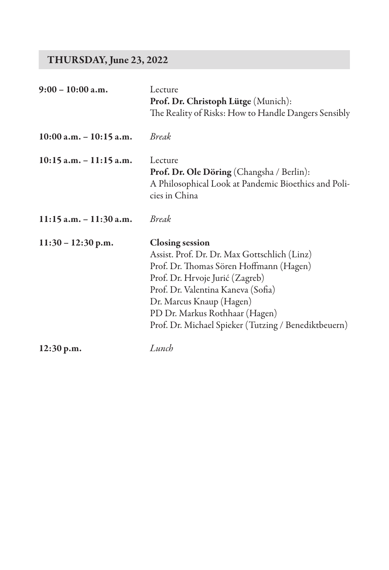## THURSDAY, June 23, 2022

| $9:00 - 10:00$ a.m.        | Lecture<br>Prof. Dr. Christoph Lütge (Munich):<br>The Reality of Risks: How to Handle Dangers Sensibly                                                                                                                                                                                                           |
|----------------------------|------------------------------------------------------------------------------------------------------------------------------------------------------------------------------------------------------------------------------------------------------------------------------------------------------------------|
| $10:00$ a.m. $-10:15$ a.m. | <b>Break</b>                                                                                                                                                                                                                                                                                                     |
| $10:15$ a.m. $-11:15$ a.m. | Lecture<br>Prof. Dr. Ole Döring (Changsha / Berlin):<br>A Philosophical Look at Pandemic Bioethics and Poli-<br>cies in China                                                                                                                                                                                    |
| $11:15$ a.m. $-11:30$ a.m. | <b>Break</b>                                                                                                                                                                                                                                                                                                     |
| $11:30 - 12:30$ p.m.       | <b>Closing session</b><br>Assist. Prof. Dr. Dr. Max Gottschlich (Linz)<br>Prof. Dr. Thomas Sören Hoffmann (Hagen)<br>Prof. Dr. Hrvoje Jurić (Zagreb)<br>Prof. Dr. Valentina Kaneva (Sofia)<br>Dr. Marcus Knaup (Hagen)<br>PD Dr. Markus Rothhaar (Hagen)<br>Prof. Dr. Michael Spieker (Tutzing / Benediktbeuern) |
| 12:30 p.m.                 | Lunch                                                                                                                                                                                                                                                                                                            |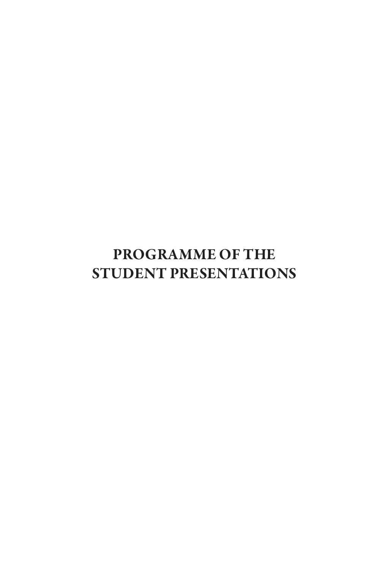# PROGRAMME OF THE STUDENT PRESENTATIONS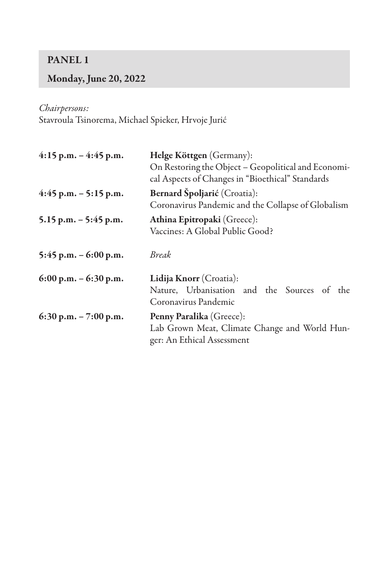## PANEL 1

#### Monday, June 20, 2022

#### *Chairpersons:*

Stavroula Tsinorema, Michael Spieker, Hrvoje Jurić

| $4:15$ p.m. $-4:45$ p.m.  | Helge Köttgen (Germany):                            |
|---------------------------|-----------------------------------------------------|
|                           | On Restoring the Object - Geopolitical and Economi- |
|                           | cal Aspects of Changes in "Bioethical" Standards    |
| $4:45$ p.m. $-5:15$ p.m.  | Bernard Špoljarić (Croatia):                        |
|                           | Coronavirus Pandemic and the Collapse of Globalism  |
| 5.15 p.m. $-$ 5:45 p.m.   | Athina Epitropaki (Greece):                         |
|                           | Vaccines: A Global Public Good?                     |
|                           |                                                     |
| 5:45 p.m. $-6:00$ p.m.    | <b>Break</b>                                        |
|                           | Lidija Knorr (Croatia):                             |
| $6:00$ p.m. $-6:30$ p.m.  |                                                     |
|                           | Nature, Urbanisation and the Sources of the         |
|                           | Coronavirus Pandemic                                |
| $6:30$ p.m. $- 7:00$ p.m. | Penny Paralika (Greece):                            |
|                           | Lab Grown Meat, Climate Change and World Hun-       |
|                           | ger: An Ethical Assessment                          |
|                           |                                                     |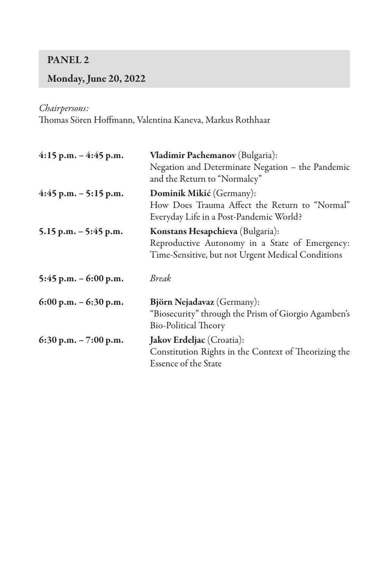## PANEL 2

#### Monday, June 20, 2022

#### *Chairpersons:*

Thomas Sören Hoffmann, Valentina Kaneva, Markus Rothhaar

| $4:15$ p.m. $-4:45$ p.m.  | Vladimir Pachemanov (Bulgaria):                      |
|---------------------------|------------------------------------------------------|
|                           | Negation and Determinate Negation - the Pandemic     |
|                           | and the Return to "Normalcy"                         |
| $4:45$ p.m. $-5:15$ p.m.  | Dominik Mikić (Germany):                             |
|                           | How Does Trauma Affect the Return to "Normal"        |
|                           | Everyday Life in a Post-Pandemic World?              |
| 5.15 p.m. $-$ 5:45 p.m.   | Konstans Hesapchieva (Bulgaria):                     |
|                           | Reproductive Autonomy in a State of Emergency:       |
|                           | Time-Sensitive, but not Urgent Medical Conditions    |
| 5:45 p.m. $-6:00$ p.m.    | <b>Break</b>                                         |
| $6:00$ p.m. $-6:30$ p.m.  | Björn Nejadavaz (Germany):                           |
|                           | "Biosecurity" through the Prism of Giorgio Agamben's |
|                           | <b>Bio-Political Theory</b>                          |
| $6:30$ p.m. $- 7:00$ p.m. | Jakov Erdeljac (Croatia):                            |
|                           | Constitution Rights in the Context of Theorizing the |
|                           | Essence of the State                                 |